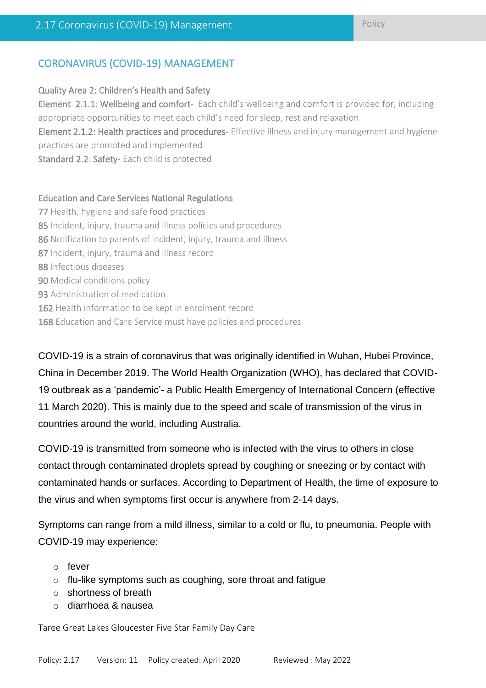# CORONAVIRUS (COVID-19) MANAGEMENT

#### Quality Area 2: Children's Health and Safety

Element 2.1.1: Wellbeing and comfort- Each child's wellbeing and comfort is provided for, including appropriate opportunities to meet each child's need for sleep, rest and relaxation

Element 2.1.2: Health practices and procedures- Effective illness and injury management and hygiene practices are promoted and implemented

Standard 2.2: Safety- Each child is protected

#### Education and Care Services National Regulations

- 77 Health, hygiene and safe food practices 85 Incident, injury, trauma and illness policies and procedures 86 Notification to parents of incident, injury, trauma and illness 87 Incident, injury, trauma and illness record 88 Infectious diseases 90 Medical conditions policy 93 Administration of medication 162 Health information to be kept in enrolment record
- 168 Education and Care Service must have policies and procedures

COVID-19 is a strain of coronavirus that was originally identified in Wuhan, Hubei Province, China in December 2019. The World Health Organization (WHO), has declared that COVID-19 outbreak as a 'pandemic'- a Public Health Emergency of International Concern (effective 11 March 2020). This is mainly due to the speed and scale of transmission of the virus in countries around the world, including Australia.

COVID-19 is transmitted from someone who is infected with the virus to others in close contact through contaminated droplets spread by coughing or sneezing or by contact with contaminated hands or surfaces. According to Department of Health, the time of exposure to the virus and when symptoms first occur is anywhere from 2-14 days.

Symptoms can range from a mild illness, similar to a cold or flu, to pneumonia. People with COVID-19 may experience:

- o fever
- o flu-like symptoms such as coughing, sore throat and fatigue
- o shortness of breath
- o diarrhoea & nausea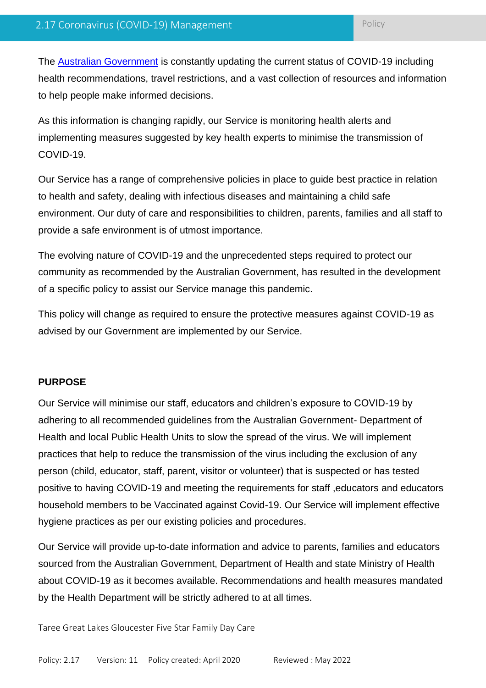The [Australian Government](https://www.health.gov.au/news/health-alerts/novel-coronavirus-2019-ncov-health-alert#current-status) is constantly updating the current status of COVID-19 including health recommendations, travel restrictions, and a vast collection of resources and information to help people make informed decisions.

As this information is changing rapidly, our Service is monitoring health alerts and implementing measures suggested by key health experts to minimise the transmission of COVID-19.

Our Service has a range of comprehensive policies in place to guide best practice in relation to health and safety, dealing with infectious diseases and maintaining a child safe environment. Our duty of care and responsibilities to children, parents, families and all staff to provide a safe environment is of utmost importance.

The evolving nature of COVID-19 and the unprecedented steps required to protect our community as recommended by the Australian Government, has resulted in the development of a specific policy to assist our Service manage this pandemic.

This policy will change as required to ensure the protective measures against COVID-19 as advised by our Government are implemented by our Service.

### **PURPOSE**

Our Service will minimise our staff, educators and children's exposure to COVID-19 by adhering to all recommended guidelines from the Australian Government- Department of Health and local Public Health Units to slow the spread of the virus. We will implement practices that help to reduce the transmission of the virus including the exclusion of any person (child, educator, staff, parent, visitor or volunteer) that is suspected or has tested positive to having COVID-19 and meeting the requirements for staff ,educators and educators household members to be Vaccinated against Covid-19. Our Service will implement effective hygiene practices as per our existing policies and procedures.

Our Service will provide up-to-date information and advice to parents, families and educators sourced from the Australian Government, Department of Health and state Ministry of Health about COVID-19 as it becomes available. Recommendations and health measures mandated by the Health Department will be strictly adhered to at all times.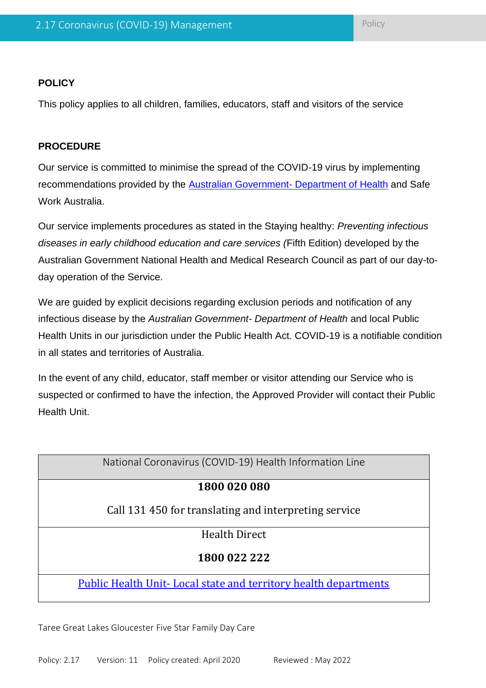### **POLICY**

This policy applies to all children, families, educators, staff and visitors of the service

### **PROCEDURE**

Our service is committed to minimise the spread of the COVID-19 virus by implementing recommendations provided by the [Australian Government-](https://www.health.gov.au/news/health-alerts/novel-coronavirus-2019-ncov-health-alert) Department of Health and Safe Work Australia.

Our service implements procedures as stated in the Staying healthy: *Preventing infectious diseases in early childhood education and care services (*Fifth Edition) developed by the Australian Government National Health and Medical Research Council as part of our day-today operation of the Service.

We are guided by explicit decisions regarding exclusion periods and notification of any infectious disease by the *Australian Government- Department of Health* and local Public Health Units in our jurisdiction under the Public Health Act. COVID-19 is a notifiable condition in all states and territories of Australia.

In the event of any child, educator, staff member or visitor attending our Service who is suspected or confirmed to have the infection, the Approved Provider will contact their Public Health Unit.

| National Coronavirus (COVID-19) Health Information Line                |
|------------------------------------------------------------------------|
| 1800 020 080                                                           |
| Call 131450 for translating and interpreting service                   |
| <b>Health Direct</b>                                                   |
| 1800 022 222                                                           |
| <b>Public Health Unit-Local state and territory health departments</b> |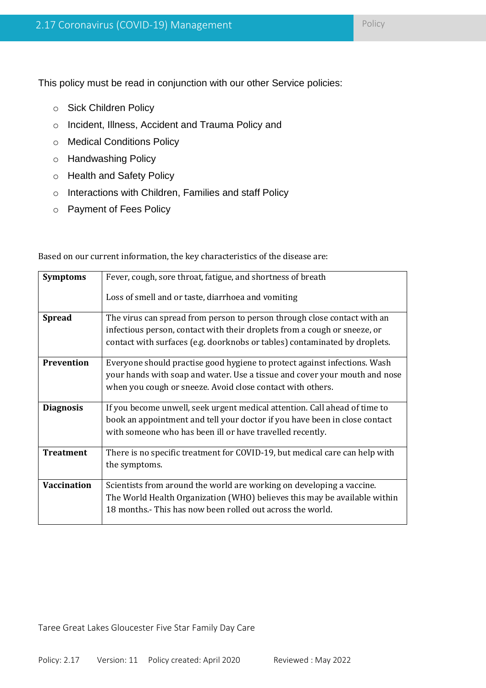This policy must be read in conjunction with our other Service policies:

- o Sick Children Policy
- o Incident, Illness, Accident and Trauma Policy and
- o Medical Conditions Policy
- o Handwashing Policy
- o Health and Safety Policy
- o Interactions with Children, Families and staff Policy
- o Payment of Fees Policy

| <b>Symptoms</b>    | Fever, cough, sore throat, fatigue, and shortness of breath                 |
|--------------------|-----------------------------------------------------------------------------|
|                    | Loss of smell and or taste, diarrhoea and vomiting                          |
| <b>Spread</b>      | The virus can spread from person to person through close contact with an    |
|                    | infectious person, contact with their droplets from a cough or sneeze, or   |
|                    | contact with surfaces (e.g. doorknobs or tables) contaminated by droplets.  |
| Prevention         | Everyone should practise good hygiene to protect against infections. Wash   |
|                    | your hands with soap and water. Use a tissue and cover your mouth and nose  |
|                    | when you cough or sneeze. Avoid close contact with others.                  |
|                    |                                                                             |
| <b>Diagnosis</b>   | If you become unwell, seek urgent medical attention. Call ahead of time to  |
|                    | book an appointment and tell your doctor if you have been in close contact  |
|                    | with someone who has been ill or have travelled recently.                   |
|                    |                                                                             |
| <b>Treatment</b>   | There is no specific treatment for COVID-19, but medical care can help with |
|                    | the symptoms.                                                               |
|                    |                                                                             |
| <b>Vaccination</b> | Scientists from around the world are working on developing a vaccine.       |
|                    | The World Health Organization (WHO) believes this may be available within   |
|                    | 18 months.- This has now been rolled out across the world.                  |
|                    |                                                                             |

Based on our current information, the key characteristics of the disease are: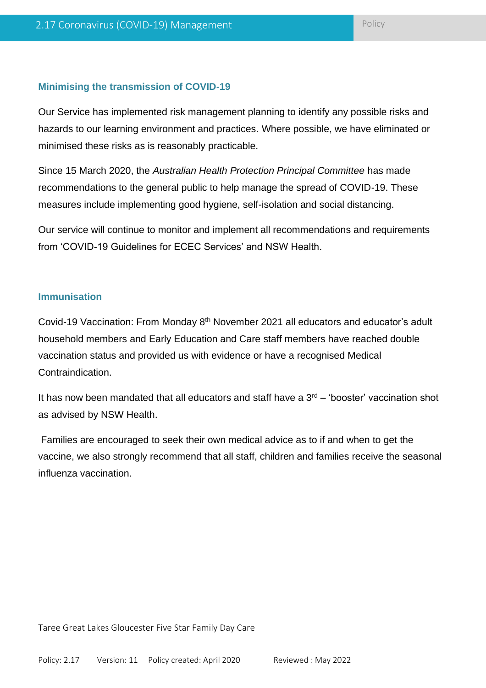### **Minimising the transmission of COVID-19**

Our Service has implemented risk management planning to identify any possible risks and hazards to our learning environment and practices. Where possible, we have eliminated or minimised these risks as is reasonably practicable.

Since 15 March 2020, the *Australian Health Protection Principal Committee* has made recommendations to the general public to help manage the spread of COVID-19. These measures include implementing good hygiene, self-isolation and social distancing.

Our service will continue to monitor and implement all recommendations and requirements from 'COVID-19 Guidelines for ECEC Services' and NSW Health.

#### **Immunisation**

Covid-19 Vaccination: From Monday 8<sup>th</sup> November 2021 all educators and educator's adult household members and Early Education and Care staff members have reached double vaccination status and provided us with evidence or have a recognised Medical Contraindication.

It has now been mandated that all educators and staff have a  $3<sup>rd</sup>$  – 'booster' vaccination shot as advised by NSW Health.

Families are encouraged to seek their own medical advice as to if and when to get the vaccine, we also strongly recommend that all staff, children and families receive the seasonal influenza vaccination.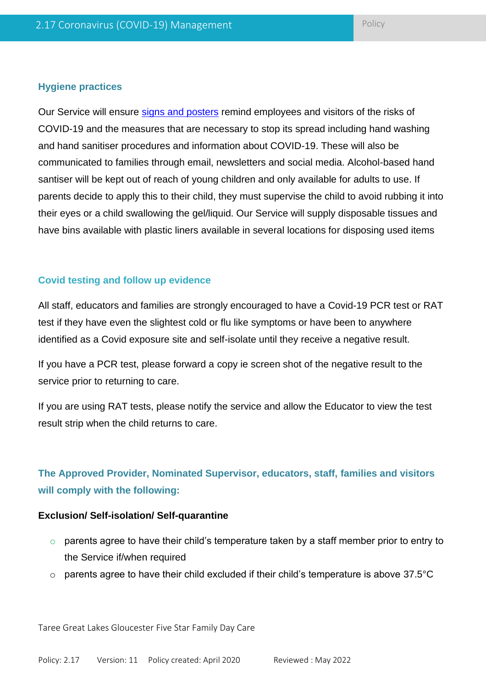#### **Hygiene practices**

Our Service will ensure [signs and posters](https://www.safeworkaustralia.gov.au/doc/signage-and-posters-covid-19) remind employees and visitors of the risks of COVID-19 and the measures that are necessary to stop its spread including hand washing and hand sanitiser procedures and information about COVID-19. These will also be communicated to families through email, newsletters and social media. Alcohol-based hand santiser will be kept out of reach of young children and only available for adults to use. If parents decide to apply this to their child, they must supervise the child to avoid rubbing it into their eyes or a child swallowing the gel/liquid. Our Service will supply disposable tissues and have bins available with plastic liners available in several locations for disposing used items

### **Covid testing and follow up evidence**

All staff, educators and families are strongly encouraged to have a Covid-19 PCR test or RAT test if they have even the slightest cold or flu like symptoms or have been to anywhere identified as a Covid exposure site and self-isolate until they receive a negative result.

If you have a PCR test, please forward a copy ie screen shot of the negative result to the service prior to returning to care.

If you are using RAT tests, please notify the service and allow the Educator to view the test result strip when the child returns to care.

# **The Approved Provider, Nominated Supervisor, educators, staff, families and visitors will comply with the following:**

#### **Exclusion/ Self-isolation/ Self-quarantine**

- $\circ$  parents agree to have their child's temperature taken by a staff member prior to entry to the Service if/when required
- o parents agree to have their child excluded if their child's temperature is above 37.5°C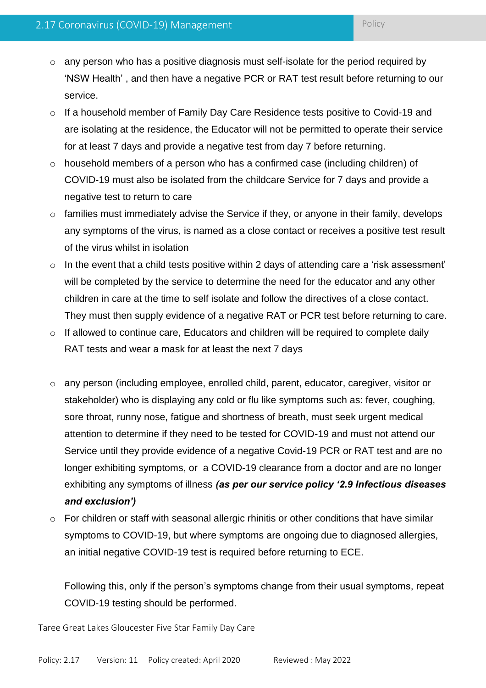- o any person who has a positive diagnosis must self-isolate for the period required by 'NSW Health' , and then have a negative PCR or RAT test result before returning to our service.
- o If a household member of Family Day Care Residence tests positive to Covid-19 and are isolating at the residence, the Educator will not be permitted to operate their service for at least 7 days and provide a negative test from day 7 before returning.
- o household members of a person who has a confirmed case (including children) of COVID-19 must also be isolated from the childcare Service for 7 days and provide a negative test to return to care
- o families must immediately advise the Service if they, or anyone in their family, develops any symptoms of the virus, is named as a close contact or receives a positive test result of the virus whilst in isolation
- $\circ$  In the event that a child tests positive within 2 days of attending care a 'risk assessment' will be completed by the service to determine the need for the educator and any other children in care at the time to self isolate and follow the directives of a close contact. They must then supply evidence of a negative RAT or PCR test before returning to care.
- o If allowed to continue care, Educators and children will be required to complete daily RAT tests and wear a mask for at least the next 7 days
- o any person (including employee, enrolled child, parent, educator, caregiver, visitor or stakeholder) who is displaying any cold or flu like symptoms such as: fever, coughing, sore throat, runny nose, fatigue and shortness of breath, must seek urgent medical attention to determine if they need to be tested for COVID-19 and must not attend our Service until they provide evidence of a negative Covid-19 PCR or RAT test and are no longer exhibiting symptoms, or a COVID-19 clearance from a doctor and are no longer exhibiting any symptoms of illness *(as per our service policy '2.9 Infectious diseases and exclusion')*
- o For children or staff with seasonal allergic rhinitis or other conditions that have similar symptoms to COVID-19, but where symptoms are ongoing due to diagnosed allergies, an initial negative COVID-19 test is required before returning to ECE.

Following this, only if the person's symptoms change from their usual symptoms, repeat COVID-19 testing should be performed.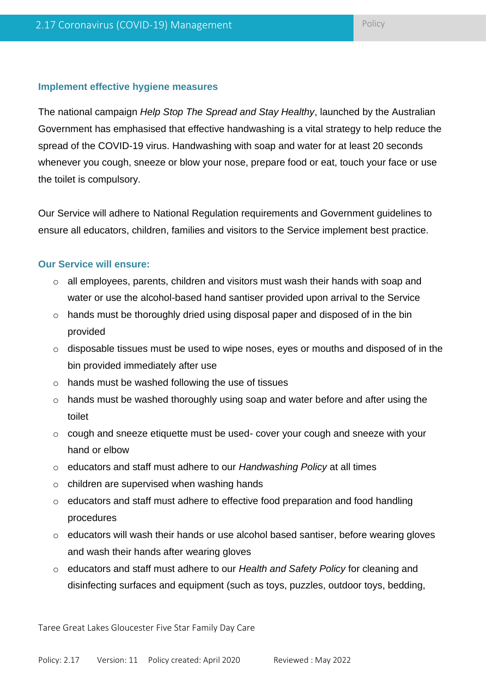#### **Implement effective hygiene measures**

The national campaign *Help Stop The Spread and Stay Healthy*, launched by the Australian Government has emphasised that effective handwashing is a vital strategy to help reduce the spread of the COVID-19 virus. Handwashing with soap and water for at least 20 seconds whenever you cough, sneeze or blow your nose, prepare food or eat, touch your face or use the toilet is compulsory.

Our Service will adhere to National Regulation requirements and Government guidelines to ensure all educators, children, families and visitors to the Service implement best practice.

#### **Our Service will ensure:**

- o all employees, parents, children and visitors must wash their hands with soap and water or use the alcohol-based hand santiser provided upon arrival to the Service
- $\circ$  hands must be thoroughly dried using disposal paper and disposed of in the bin provided
- o disposable tissues must be used to wipe noses, eyes or mouths and disposed of in the bin provided immediately after use
- o hands must be washed following the use of tissues
- o hands must be washed thoroughly using soap and water before and after using the toilet
- o cough and sneeze etiquette must be used- cover your cough and sneeze with your hand or elbow
- o educators and staff must adhere to our *Handwashing Policy* at all times
- o children are supervised when washing hands
- o educators and staff must adhere to effective food preparation and food handling procedures
- $\circ$  educators will wash their hands or use alcohol based santiser, before wearing gloves and wash their hands after wearing gloves
- o educators and staff must adhere to our *Health and Safety Policy* for cleaning and disinfecting surfaces and equipment (such as toys, puzzles, outdoor toys, bedding,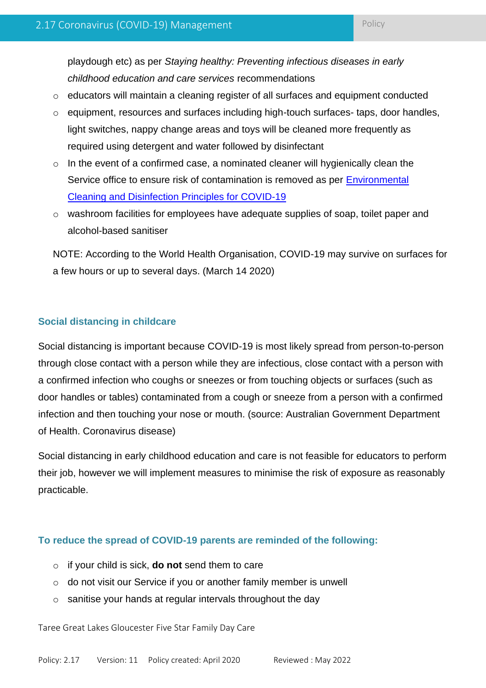playdough etc) as per *Staying healthy: Preventing infectious diseases in early childhood education and care services* recommendations

- o educators will maintain a cleaning register of all surfaces and equipment conducted
- o equipment, resources and surfaces including high-touch surfaces- taps, door handles, light switches, nappy change areas and toys will be cleaned more frequently as required using detergent and water followed by disinfectant
- $\circ$  In the event of a confirmed case, a nominated cleaner will hygienically clean the Service office to ensure risk of contamination is removed as per [Environmental](https://www.health.gov.au/sites/default/files/documents/2020/03/environmental-cleaning-and-disinfection-principles-for-covid-19.pdf)  [Cleaning and Disinfection Principles for COVID-19](https://www.health.gov.au/sites/default/files/documents/2020/03/environmental-cleaning-and-disinfection-principles-for-covid-19.pdf)
- o washroom facilities for employees have adequate supplies of soap, toilet paper and alcohol-based sanitiser

NOTE: According to the World Health Organisation, COVID-19 may survive on surfaces for a few hours or up to several days. (March 14 2020)

### **Social distancing in childcare**

Social distancing is important because COVID-19 is most likely spread from person-to-person through close contact with a person while they are infectious, close contact with a person with a confirmed infection who coughs or sneezes or from touching objects or surfaces (such as door handles or tables) contaminated from a cough or sneeze from a person with a confirmed infection and then touching your nose or mouth. (source: Australian Government Department of Health. Coronavirus disease)

Social distancing in early childhood education and care is not feasible for educators to perform their job, however we will implement measures to minimise the risk of exposure as reasonably practicable.

### **To reduce the spread of COVID-19 parents are reminded of the following:**

- o if your child is sick, **do not** send them to care
- o do not visit our Service if you or another family member is unwell
- o sanitise your hands at regular intervals throughout the day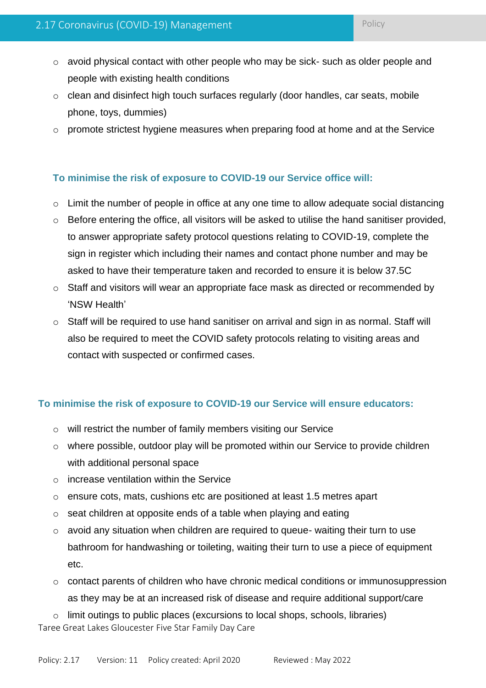- $\circ$  avoid physical contact with other people who may be sick- such as older people and people with existing health conditions
- o clean and disinfect high touch surfaces regularly (door handles, car seats, mobile phone, toys, dummies)
- o promote strictest hygiene measures when preparing food at home and at the Service

### **To minimise the risk of exposure to COVID-19 our Service office will:**

- o Limit the number of people in office at any one time to allow adequate social distancing
- $\circ$  Before entering the office, all visitors will be asked to utilise the hand sanitiser provided, to answer appropriate safety protocol questions relating to COVID-19, complete the sign in register which including their names and contact phone number and may be asked to have their temperature taken and recorded to ensure it is below 37.5C
- o Staff and visitors will wear an appropriate face mask as directed or recommended by 'NSW Health'
- o Staff will be required to use hand sanitiser on arrival and sign in as normal. Staff will also be required to meet the COVID safety protocols relating to visiting areas and contact with suspected or confirmed cases.

### **To minimise the risk of exposure to COVID-19 our Service will ensure educators:**

- o will restrict the number of family members visiting our Service
- o where possible, outdoor play will be promoted within our Service to provide children with additional personal space
- $\circ$  increase ventilation within the Service
- o ensure cots, mats, cushions etc are positioned at least 1.5 metres apart
- o seat children at opposite ends of a table when playing and eating
- $\circ$  avoid any situation when children are required to queue- waiting their turn to use bathroom for handwashing or toileting, waiting their turn to use a piece of equipment etc.
- o contact parents of children who have chronic medical conditions or immunosuppression as they may be at an increased risk of disease and require additional support/care
- Taree Great Lakes Gloucester Five Star Family Day Care o limit outings to public places (excursions to local shops, schools, libraries)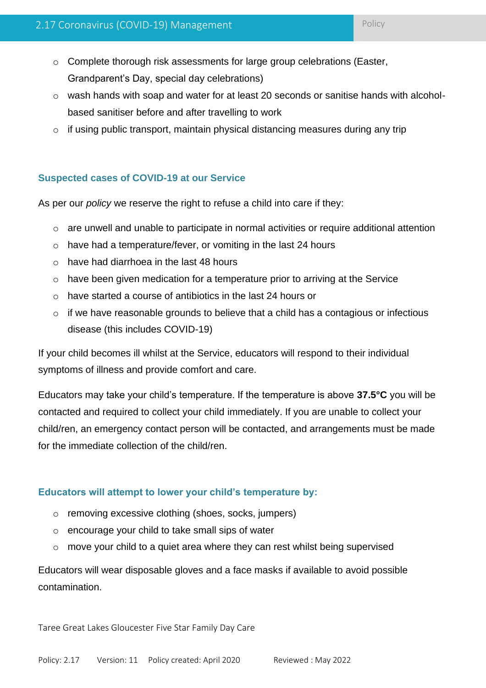- $\circ$  Complete thorough risk assessments for large group celebrations (Easter, Grandparent's Day, special day celebrations)
- o wash hands with soap and water for at least 20 seconds or sanitise hands with alcoholbased sanitiser before and after travelling to work
- $\circ$  if using public transport, maintain physical distancing measures during any trip

## **Suspected cases of COVID-19 at our Service**

As per our *policy* we reserve the right to refuse a child into care if they:

- o are unwell and unable to participate in normal activities or require additional attention
- o have had a temperature/fever, or vomiting in the last 24 hours
- o have had diarrhoea in the last 48 hours
- o have been given medication for a temperature prior to arriving at the Service
- o have started a course of antibiotics in the last 24 hours or
- $\circ$  if we have reasonable grounds to believe that a child has a contagious or infectious disease (this includes COVID-19)

If your child becomes ill whilst at the Service, educators will respond to their individual symptoms of illness and provide comfort and care.

Educators may take your child's temperature. If the temperature is above **37.5°C** you will be contacted and required to collect your child immediately. If you are unable to collect your child/ren, an emergency contact person will be contacted, and arrangements must be made for the immediate collection of the child/ren.

### **Educators will attempt to lower your child's temperature by:**

- o removing excessive clothing (shoes, socks, jumpers)
- o encourage your child to take small sips of water
- $\circ$  move your child to a quiet area where they can rest whilst being supervised

Educators will wear disposable gloves and a face masks if available to avoid possible contamination.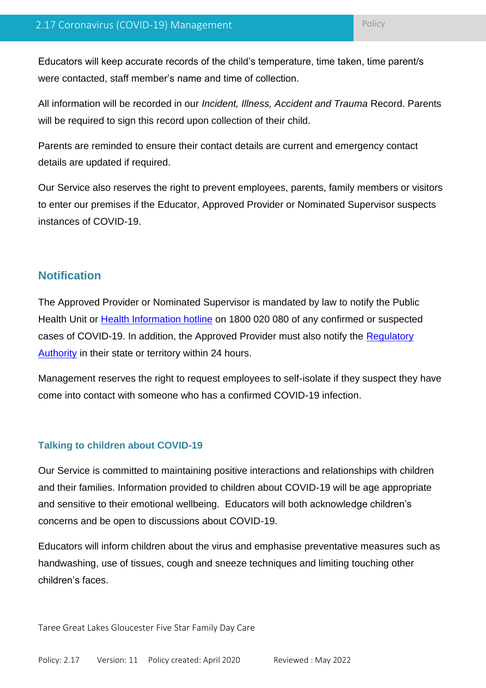Educators will keep accurate records of the child's temperature, time taken, time parent/s were contacted, staff member's name and time of collection.

All information will be recorded in our *Incident, Illness, Accident and Trauma* Record. Parents will be required to sign this record upon collection of their child.

Parents are reminded to ensure their contact details are current and emergency contact details are updated if required.

Our Service also reserves the right to prevent employees, parents, family members or visitors to enter our premises if the Educator, Approved Provider or Nominated Supervisor suspects instances of COVID-19.

# **Notification**

The Approved Provider or Nominated Supervisor is mandated by law to notify the Public Health Unit or [Health Information hotline](https://www.health.gov.au/about-us/contact-us) on 1800 020 080 of any confirmed or suspected cases of COVID-19. In addition, the Approved Provider must also notify the [Regulatory](https://www.acecqa.gov.au/help/contact-your-regulatory-authority)  [Authority](https://www.acecqa.gov.au/help/contact-your-regulatory-authority) in their state or territory within 24 hours.

Management reserves the right to request employees to self-isolate if they suspect they have come into contact with someone who has a confirmed COVID-19 infection.

### **Talking to children about COVID-19**

Our Service is committed to maintaining positive interactions and relationships with children and their families. Information provided to children about COVID-19 will be age appropriate and sensitive to their emotional wellbeing. Educators will both acknowledge children's concerns and be open to discussions about COVID-19.

Educators will inform children about the virus and emphasise preventative measures such as handwashing, use of tissues, cough and sneeze techniques and limiting touching other children's faces.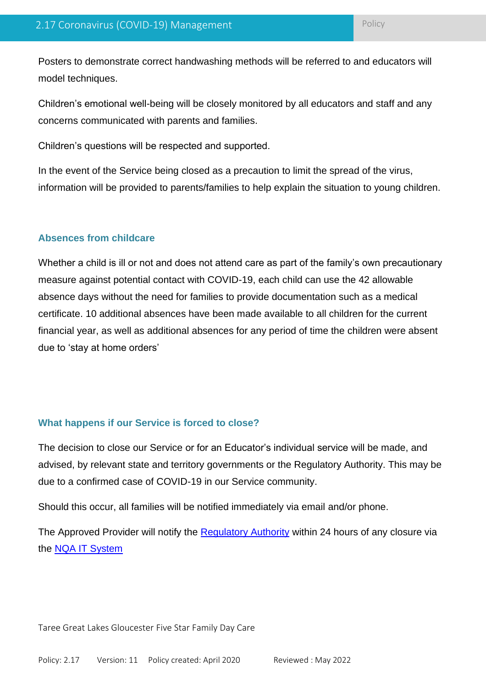Posters to demonstrate correct handwashing methods will be referred to and educators will model techniques.

Children's emotional well-being will be closely monitored by all educators and staff and any concerns communicated with parents and families.

Children's questions will be respected and supported.

In the event of the Service being closed as a precaution to limit the spread of the virus, information will be provided to parents/families to help explain the situation to young children.

#### **Absences from childcare**

Whether a child is ill or not and does not attend care as part of the family's own precautionary measure against potential contact with COVID-19, each child can use the 42 allowable absence days without the need for families to provide documentation such as a medical certificate. 10 additional absences have been made available to all children for the current financial year, as well as additional absences for any period of time the children were absent due to 'stay at home orders'

#### **What happens if our Service is forced to close?**

The decision to close our Service or for an Educator's individual service will be made, and advised, by relevant state and territory governments or the Regulatory Authority. This may be due to a confirmed case of COVID-19 in our Service community.

Should this occur, all families will be notified immediately via email and/or phone.

The Approved Provider will notify the [Regulatory Authority](https://www.acecqa.gov.au/help/contact-your-regulatory-authority) within 24 hours of any closure via the [NQA IT System](https://www.acecqa.gov.au/resources/national-quality-agenda-it-system)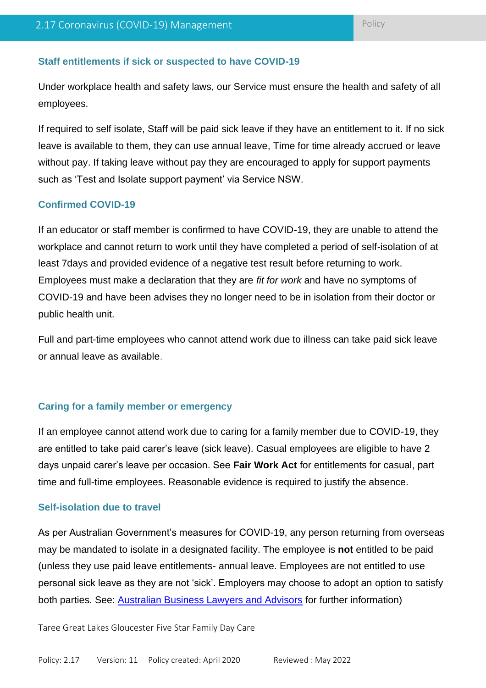#### **Staff entitlements if sick or suspected to have COVID-19**

Under workplace health and safety laws, our Service must ensure the health and safety of all employees.

If required to self isolate, Staff will be paid sick leave if they have an entitlement to it. If no sick leave is available to them, they can use annual leave, Time for time already accrued or leave without pay. If taking leave without pay they are encouraged to apply for support payments such as 'Test and Isolate support payment' via Service NSW.

#### **Confirmed COVID-19**

If an educator or staff member is confirmed to have COVID-19, they are unable to attend the workplace and cannot return to work until they have completed a period of self-isolation of at least 7days and provided evidence of a negative test result before returning to work. Employees must make a declaration that they are *fit for work* and have no symptoms of COVID-19 and have been advises they no longer need to be in isolation from their doctor or public health unit.

Full and part-time employees who cannot attend work due to illness can take paid sick leave or annual leave as available.

#### **Caring for a family member or emergency**

If an employee cannot attend work due to caring for a family member due to COVID-19, they are entitled to take paid carer's leave (sick leave). Casual employees are eligible to have 2 days unpaid carer's leave per occasion. See **Fair Work Act** for entitlements for casual, part time and full-time employees. Reasonable evidence is required to justify the absence.

#### **Self-isolation due to travel**

As per Australian Government's measures for COVID-19, any person returning from overseas may be mandated to isolate in a designated facility. The employee is **not** entitled to be paid (unless they use paid leave entitlements- annual leave. Employees are not entitled to use personal sick leave as they are not 'sick'. Employers may choose to adopt an option to satisfy both parties. See: [Australian Business Lawyers and Advisors](https://www.ablawyers.com.au/Resources/COVID-19-FAQs-guide) for further information)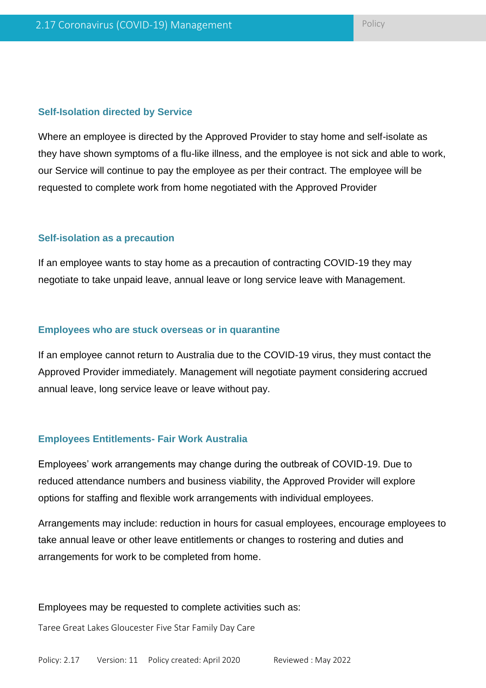#### **Self-Isolation directed by Service**

Where an employee is directed by the Approved Provider to stay home and self-isolate as they have shown symptoms of a flu-like illness, and the employee is not sick and able to work, our Service will continue to pay the employee as per their contract. The employee will be requested to complete work from home negotiated with the Approved Provider

#### **Self-isolation as a precaution**

If an employee wants to stay home as a precaution of contracting COVID-19 they may negotiate to take unpaid leave, annual leave or long service leave with Management.

#### **Employees who are stuck overseas or in quarantine**

If an employee cannot return to Australia due to the COVID-19 virus, they must contact the Approved Provider immediately. Management will negotiate payment considering accrued annual leave, long service leave or leave without pay.

#### **Employees Entitlements- Fair Work Australia**

Employees' work arrangements may change during the outbreak of COVID-19. Due to reduced attendance numbers and business viability, the Approved Provider will explore options for staffing and flexible work arrangements with individual employees.

Arrangements may include: reduction in hours for casual employees, encourage employees to take annual leave or other leave entitlements or changes to rostering and duties and arrangements for work to be completed from home.

#### Employees may be requested to complete activities such as: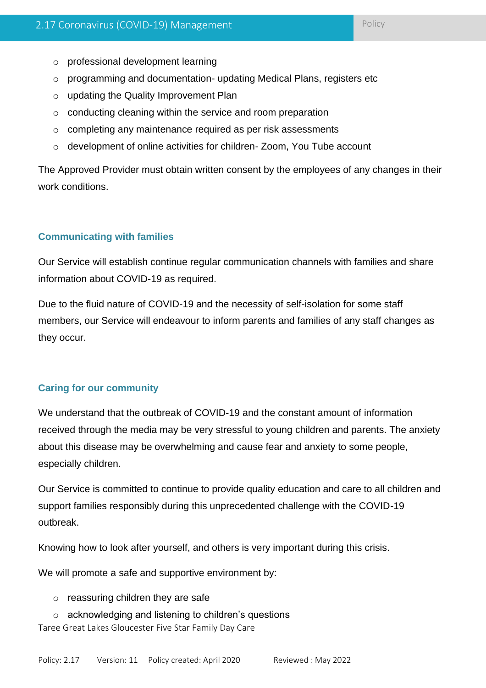- o professional development learning
- o programming and documentation- updating Medical Plans, registers etc
- o updating the Quality Improvement Plan
- o conducting cleaning within the service and room preparation
- o completing any maintenance required as per risk assessments
- o development of online activities for children- Zoom, You Tube account

The Approved Provider must obtain written consent by the employees of any changes in their work conditions.

### **Communicating with families**

Our Service will establish continue regular communication channels with families and share information about COVID-19 as required.

Due to the fluid nature of COVID-19 and the necessity of self-isolation for some staff members, our Service will endeavour to inform parents and families of any staff changes as they occur.

### **Caring for our community**

We understand that the outbreak of COVID-19 and the constant amount of information received through the media may be very stressful to young children and parents. The anxiety about this disease may be overwhelming and cause fear and anxiety to some people, especially children.

Our Service is committed to continue to provide quality education and care to all children and support families responsibly during this unprecedented challenge with the COVID-19 outbreak.

Knowing how to look after yourself, and others is very important during this crisis.

We will promote a safe and supportive environment by:

- $\circ$  reassuring children they are safe
- Taree Great Lakes Gloucester Five Star Family Day Care o acknowledging and listening to children's questions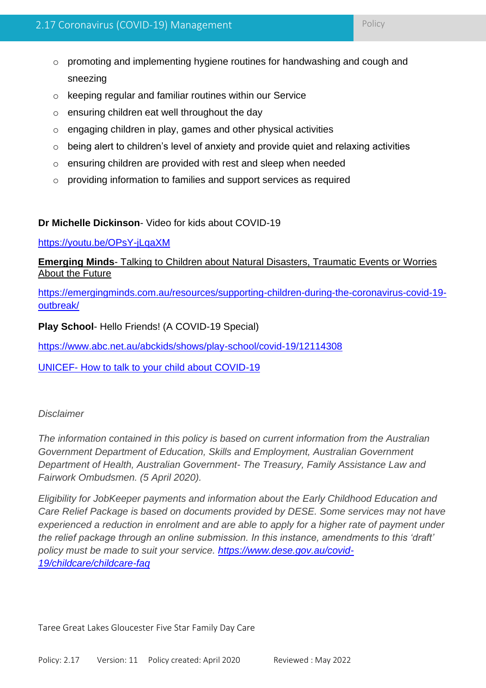- o keeping regular and familiar routines within our Service
- o ensuring children eat well throughout the day
- o engaging children in play, games and other physical activities
- $\circ$  being alert to children's level of anxiety and provide quiet and relaxing activities
- o ensuring children are provided with rest and sleep when needed
- o providing information to families and support services as required

### **Dr Michelle Dickinson**- Video for kids about COVID-19

<https://youtu.be/OPsY-jLqaXM>

**Emerging Minds**- Talking to Children about Natural Disasters, Traumatic Events or Worries About the Future

[https://emergingminds.com.au/resources/supporting-children-during-the-coronavirus-covid-19](https://emergingminds.com.au/resources/supporting-children-during-the-coronavirus-covid-19-outbreak/) [outbreak/](https://emergingminds.com.au/resources/supporting-children-during-the-coronavirus-covid-19-outbreak/)

**Play School**- Hello Friends! (A COVID-19 Special)

<https://www.abc.net.au/abckids/shows/play-school/covid-19/12114308>

UNICEF- [How to talk to your child about COVID-19](https://www.unicef.org.au/blog/news-and-insights/march-2020/how-to-talk-to-your-children-about-coronavirus)

### *Disclaimer*

*The information contained in this policy is based on current information from the Australian Government Department of Education, Skills and Employment, Australian Government Department of Health, Australian Government- The Treasury, Family Assistance Law and Fairwork Ombudsmen. (5 April 2020).*

*Eligibility for JobKeeper payments and information about the Early Childhood Education and Care Relief Package is based on documents provided by DESE. Some services may not have experienced a reduction in enrolment and are able to apply for a higher rate of payment under the relief package through an online submission. In this instance, amendments to this 'draft' policy must be made to suit your service. [https://www.dese.gov.au/covid-](https://www.dese.gov.au/covid-19/childcare/childcare-faq)[19/childcare/childcare-faq](https://www.dese.gov.au/covid-19/childcare/childcare-faq)*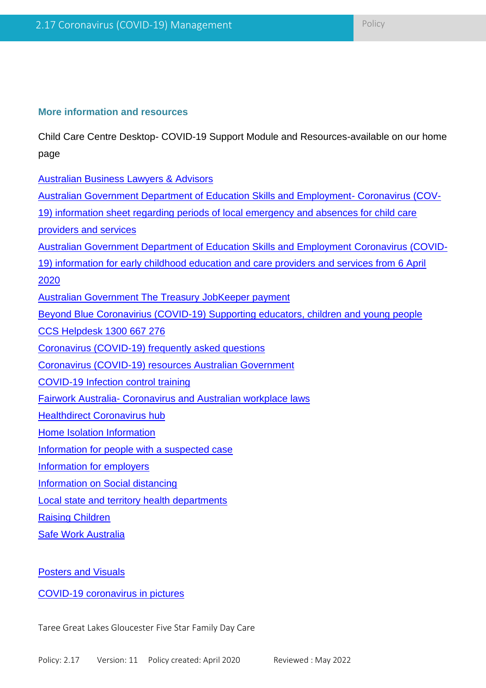### **More information and resources**

Child Care Centre Desktop- COVID-19 Support Module and Resources-available on our home page

Australian Business Lawyers & Advisors

| <b>Australian Government Department of Education Skills and Employment- Coronavirus (COV-</b>  |
|------------------------------------------------------------------------------------------------|
| 19) information sheet regarding periods of local emergency and absences for child care         |
| providers and services                                                                         |
| <b>Australian Government Department of Education Skills and Employment Coronavirus (COVID-</b> |
| 19) information for early childhood education and care providers and services from 6 April     |
| 2020                                                                                           |
| <b>Australian Government The Treasury JobKeeper payment</b>                                    |
| Beyond Blue Coronavirius (COVID-19) Supporting educators, children and young people            |
| <b>CCS Helpdesk 1300 667 276</b>                                                               |
| Coronavirus (COVID-19) frequently asked questions                                              |
| Coronavirus (COVID-19) resources Australian Government                                         |
| <b>COVID-19 Infection control training</b>                                                     |
| <b>Fairwork Australia- Coronavirus and Australian workplace laws</b>                           |
| <b>Healthdirect Coronavirus hub</b>                                                            |
| <b>Home Isolation Information</b>                                                              |
| Information for people with a suspected case                                                   |
| Information for employers                                                                      |
| <b>Information on Social distancing</b>                                                        |
| <b>Local state and territory health departments</b>                                            |
| <b>Raising Children</b>                                                                        |
| <b>Safe Work Australia</b>                                                                     |

**Posters and Visuals** 

COVID-19 coronavirus in pictures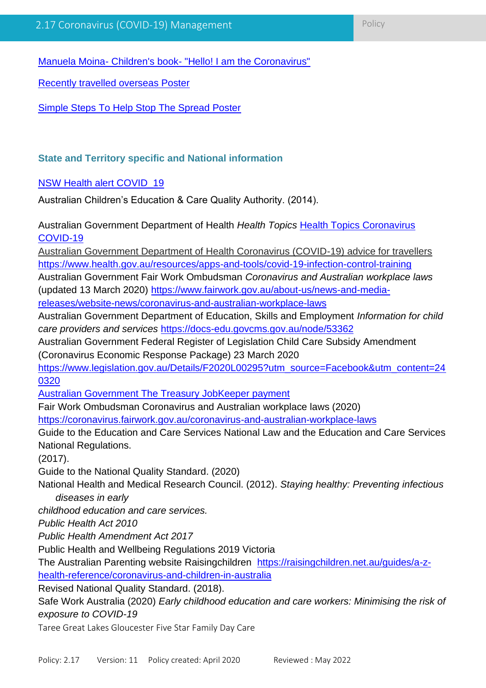Manuela Moina- Children's book- "Hello! I am the Coronavirus"

Recently travelled overseas Poster

Simple Steps To Help Stop The Spread Poster

### **State and Territory specific and National information**

### **NSW Health alert COVID** 19

Australian Children's Education & Care Quality Authority. (2014).

Australian Government Department of Health *Health Topics* Health Topics Coronavirus COVID-19

Australian Government Department of Health Coronavirus (COVID-19) advice for travellers https://www.health.gov.au/resources/apps-and-tools/covid-19-infection-control-training

Australian Government Fair Work Ombudsman *Coronavirus and Australian workplace laws*  (updated 13 March 2020) https://www.fairwork.gov.au/about-us/news-and-media-

releases/website-news/coronavirus-and-australian-workplace-laws

Australian Government Department of Education, Skills and Employment *Information for child care providers and services* https://docs-edu.govcms.gov.au/node/53362

Australian Government Federal Register of Legislation Child Care Subsidy Amendment (Coronavirus Economic Response Package) 23 March 2020

https://www.legislation.gov.au/Details/F2020L00295?utm\_source=Facebook&utm\_content=24 0320

Australian Government The Treasury JobKeeper payment

Fair Work Ombudsman Coronavirus and Australian workplace laws (2020)

https://coronavirus.fairwork.gov.au/coronavirus-and-australian-workplace-laws

Guide to the Education and Care Services National Law and the Education and Care Services National Regulations.

(2017).

Guide to the National Quality Standard. (2020)

National Health and Medical Research Council. (2012). *Staying healthy: Preventing infectious diseases in early*

*childhood education and care services.* 

*Public Health Act 2010*

*Public Health Amendment Act 2017*

Public Health and Wellbeing Regulations 2019 Victoria

The Australian Parenting website Raisingchildren https://raisingchildren.net.au/guides/a-zhealth-reference/coronavirus-and-children-in-australia

Revised National Quality Standard. (2018).

Safe Work Australia (2020) *Early childhood education and care workers: Minimising the risk of exposure to COVID-19*